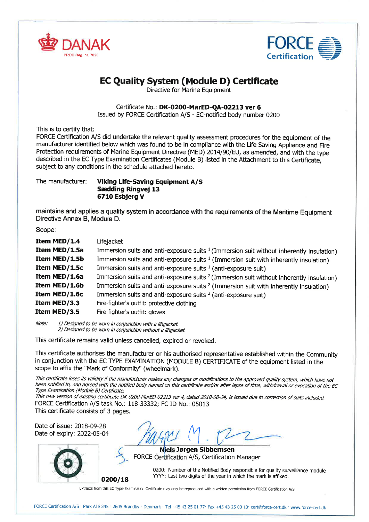



# EC Quality System (Module D) Certificate

Directive for Marine Equipment

#### Certificate No.: DK-0200-MarED-QA-02213 ver 6

Issued by FORCE Ceftification A/S - EC-notified body number 0200

This is to certify that:

FORCE Certification A/S did undertake the relevant quality assessment procedures for the equipment of the manufacturer identified below which was found to be in compliance with the Life Saving Appliance and Fire Protection requirements of Marine Equipment Directive (MED) 20I4190/EU, as amended, and with the type described in the EC Type Examination Certificates (Module B) listed in the Attachment to this Certificate. subject to any conditions in the schedule attached hereto.

The manufacturer: Viking Life-Saving Equipment A/S Sædding Ringvej 13 671O Esbjerg V

maintains and applies a quality system in accordance with the requirements of the Maritime Equipment Directive Annex B, Module D.

Scope:

| Item MED/1.4<br>Item MED/1.5a<br>Item MED/1.5b | Lifejacket<br>Immersion suits and anti-exposure suits $1$ (Immersion suit without inherently insulation)<br>Immersion suits and anti-exposure suits $1$ (Immersion suit with inherently insulation) |
|------------------------------------------------|-----------------------------------------------------------------------------------------------------------------------------------------------------------------------------------------------------|
| Item MED/1.5c                                  | Immersion suits and anti-exposure suits $1$ (anti-exposure suit)                                                                                                                                    |
| Item MED/1.6a                                  | Immersion suits and anti-exposure suits $2$ (Immersion suit without inherently insulation)                                                                                                          |
| Item MED/1.6b                                  | Immersion suits and anti-exposure suits <sup>2</sup> (Immersion suit with inherently insulation)                                                                                                    |
| Item MED/1.6c                                  | Immersion suits and anti-exposure suits <sup>2</sup> (anti-exposure suit)                                                                                                                           |
| Item MED/3.3                                   | Fire-fighter's outfit: protective clothing                                                                                                                                                          |
| Item MED/3.5                                   | Fire-fighter's outfit: gloves                                                                                                                                                                       |

Note:  $1)$  Designed to be worn in conjunction with a lifejacket. 2) Designed to be worn in conjunction without a lifejacket

This certificate remains valid unless cancelled, expired or revoked.

This ceftificate authorises the manufacturer or his authorised representative established within the Community in conjunction with the EC TYPE EXAMINATION (MODULE B) CERTIFICATE of the equipment listed in the scope to affix the "Mark of Conformity" (wheelmark).

This certificate loses its validity if the manufacturer makes any changes or modifications to the approved quality system, which have not been notified to, and agreed with the notified body named on this certificate and/or after lapse of time, withdrawal or evocation of the EC Type Examination (Module B) Certificate.

This new version of existing certificate DK-0200-MarED-02213 ver 4, dated 2018-08-24, is issued due to correction of suits included. FORCE Cetification A/S task No.: 118-33332; FC ID No.: 05013 This certificate consists of 3 pages.

Date of issue: 2018-09-28 Date of expiry: 2022-05-04

 $\binom{V}{1}$ 

Niels Jørgen Sibbernsen FORCE Certification A/S, Certification Manager

0200: Number of the Notified Body responsible for quality surveillance module  $0200/18$  YYYY: Last two digits of the year in which the mark is affixed.

Extracts from this EC Type-Examination Certificate may only be reproduced with a written permission from FORCE Certification A/S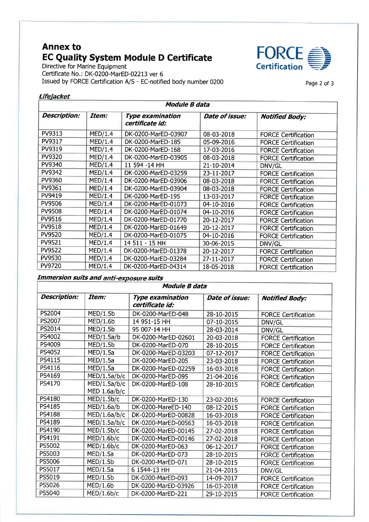# **Annex to EC Quality System Module D Certificate**<br>Directive for Marine Equipment

Certificate No.: DK-0200-MarED-02213 ver 6 Issued by FORCE Certification A/S - EC-notified body number 0200



Page 2 of 3

#### Lifejacket

| <b>Module B data</b> |         |                                            |                |                            |
|----------------------|---------|--------------------------------------------|----------------|----------------------------|
| <b>Description:</b>  | Item:   | <b>Type examination</b><br>certificate id: | Date of issue: | <b>Notified Body:</b>      |
| PV9313               | MED/1.4 | DK-0200-MarED-03907                        | 08-03-2018     | <b>FORCE Certification</b> |
| PV9317               | MED/1.4 | DK-0200-MarED-185                          | 05-09-2016     | <b>FORCE Certification</b> |
| PV9319               | MED/1.4 | DK-0200-MarED-168                          | 17-03-2016     | <b>FORCE Certification</b> |
| PV9320               | MED/1.4 | DK-0200-MarED-03905                        | 08-03-2018     | <b>FORCE Certification</b> |
| PV9340               | MED/1.4 | 11 594 -14 HH                              | 21-10-2014     | DNV/GL                     |
| PV9342               | MED/1.4 | DK-0200-MarED-03259                        | 23-11-2017     | <b>FORCE Certification</b> |
| PV9360               | MED/1.4 | DK-0200-MarED-03906                        | 08-03-2018     | <b>FORCE Certification</b> |
| PV9361               | MED/1.4 | DK-0200-MarED-03904                        | 08-03-2018     | <b>FORCE Certification</b> |
| PV9419               | MED/1.4 | DK-0200-MarED-195                          | 13-03-2017     | <b>FORCE Certification</b> |
| <b>PV9506</b>        | MED/1.4 | DK-0200-MarED-01073                        | 04-10-2016     | <b>FORCE Certification</b> |
| <b>PV9508</b>        | MED/1.4 | DK-0200-MarED-01074                        | 04-10-2016     | <b>FORCE Certification</b> |
| PV9516               | MED/1.4 | DK-0200-MarED-01770                        | 20-12-2017     | <b>FORCE Certification</b> |
| PV9518               | MED/1.4 | DK-0200-MarED-01649                        | 20-12-2017     | <b>FORCE Certification</b> |
| PV9520               | MED/1.4 | DK-0200-MarED-01075                        | 04-10-2016     | <b>FORCE Certification</b> |
| PV9521               | MED/1.4 | 14 511 - 15 HH                             | 30-06-2015     | DNV/GL                     |
| PV9522               | MED/1.4 | DK-0200-MarED-01378                        | 20-12-2017     | <b>FORCE Certification</b> |
| PV9530               | MED/1.4 | DK-0200-MarED-03284                        | 27-11-2017     | <b>FORCE Certification</b> |
| PV9720               | MED/1.4 | DK-0200-MarED-04314                        | 18-05-2018     | <b>FORCE Certification</b> |

## **Immersion suits and anti-exposure suits**

| <b>Module B data</b> |                                |                                            |                |                            |
|----------------------|--------------------------------|--------------------------------------------|----------------|----------------------------|
| <b>Description:</b>  | Item:                          | <b>Type examination</b><br>certificate id: | Date of issue: | <b>Notified Body:</b>      |
| PS2004               | MED/1.5b                       | DK-0200-MarED-048                          | 28-10-2015     | <b>FORCE Certification</b> |
| PS2007               | MED/1.6b                       | 14 951-15 HH                               | 07-10-2015     | DNV/GL                     |
| PS2014               | MED/1.5b                       | 95 007-14 HH                               | 28-03-2014     | DNV/GL                     |
| PS4002               | MED/1.5a/b                     | DK-0200-MarED-02601                        | 20-03-2018     | <b>FORCE Certification</b> |
| PS4009               | MED/1.5b                       | DK-0200-MarED-070                          | 28-10-2015     | <b>FORCE Certification</b> |
| PS4052               | MED/1.5a                       | DK-0200-MarED-03203                        | 07-12-2017     | <b>FORCE Certification</b> |
| PS4115               | MED/1.5a                       | DK-0200-MarED-205                          | 23-03-2018     | <b>FORCE Certification</b> |
| PS4116               | MED/1.5a                       | DK-0200-MarED-02259                        | 16-03-2018     | <b>FORCE Certification</b> |
| PS4169               | MED/1.5a/b/c                   | DK-0200-MarED-095                          | 21-04-2016     | <b>FORCE Certification</b> |
| PS4170               | MED/1.5a/b/c<br>MED $1.6a/b/c$ | DK-0200-MarED-108                          | 28-10-2015     | <b>FORCE Certification</b> |
| PS4180               | MED/1.5b/c                     | DK-0200-MarED-130                          | 23-02-2016     | <b>FORCE Certification</b> |
| PS4185               | MED/1.6a/b                     | DK-0200-MareED-140                         | 08-12-2015     | <b>FORCE Certification</b> |
| <b>PS4188</b>        | MED/1.6a/b/c                   | DK-0200-MarED-00828                        | 16-03-2018     | <b>FORCE Certification</b> |
| PS4189               | MED/1.5a/b/c                   | DK-0200-MarED-00563                        | 16-03-2018     | <b>FORCE Certification</b> |
| PS4190               | MED/1.5b/c                     | DK-0200-MarED-00145                        | 27-02-2018     | <b>FORCE Certification</b> |
| PS4191               | MED/1.6b/c                     | DK-0200-MarED-00146                        | 27-02-2018     | <b>FORCE Certification</b> |
| PS5002               | MED/1.6b/c                     | DK-0200-MarED-063                          | 06-12-2017     | <b>FORCE Certification</b> |
| PS5003               | MED/1.5a                       | DK-0200-MarED-073                          | 28-10-2015     | <b>FORCE Certification</b> |
| PS5006               | MED/1.5b                       | DK-0200-MarED-071                          | 28-10-2015     | <b>FORCE Certification</b> |
| PS5017               | MED/1.5a                       | 6 1544-13 HH                               | 21-04-2015     | DNV/GL                     |
| PS5019               | MED/1.5b                       | DK-0200-MarED-093                          | 14-09-2017     | <b>FORCE Certification</b> |
| PS5026               | MED/1.6b                       | DK-0200-MarED-03926                        | 16-03-2018     | <b>FORCE Certification</b> |
| PS5040               | MED/1.6b/c                     | DK-0200-MarED-221                          | 29-10-2015     | <b>FORCE Certification</b> |